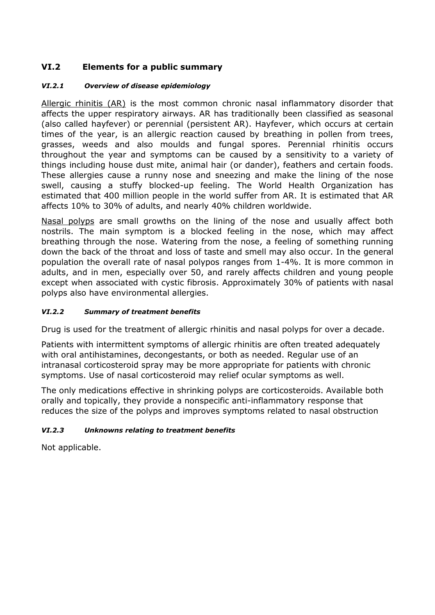# **VI.2 Elements for a public summary**

### *VI.2.1 Overview of disease epidemiology*

Allergic rhinitis (AR) is the most common chronic nasal inflammatory disorder that affects the upper respiratory airways. AR has traditionally been classified as seasonal (also called hayfever) or perennial (persistent AR). Hayfever, which occurs at certain times of the year, is an allergic reaction caused by breathing in pollen from trees, grasses, weeds and also moulds and fungal spores. Perennial rhinitis occurs throughout the year and symptoms can be caused by a sensitivity to a variety of things including house dust mite, animal hair (or dander), feathers and certain foods. These allergies cause a runny nose and sneezing and make the lining of the nose swell, causing a stuffy blocked-up feeling. The World Health Organization has estimated that 400 million people in the world suffer from AR. It is estimated that AR affects 10% to 30% of adults, and nearly 40% children worldwide.

Nasal polyps are small growths on the lining of the nose and usually affect both nostrils. The main symptom is a blocked feeling in the nose, which may affect breathing through the nose. Watering from the nose, a feeling of something running down the back of the throat and loss of taste and smell may also occur. In the general population the overall rate of nasal polypos ranges from 1-4%. It is more common in adults, and in men, especially over 50, and rarely affects children and young people except when associated with cystic fibrosis. Approximately 30% of patients with nasal polyps also have environmental allergies.

### *VI.2.2 Summary of treatment benefits*

Drug is used for the treatment of allergic rhinitis and nasal polyps for over a decade.

Patients with intermittent symptoms of allergic rhinitis are often treated adequately with oral antihistamines, decongestants, or both as needed. Regular use of an intranasal corticosteroid spray may be more appropriate for patients with chronic symptoms. Use of nasal corticosteroid may relief ocular symptoms as well.

The only medications effective in shrinking polyps are corticosteroids. Available both orally and topically, they provide a nonspecific anti-inflammatory response that reduces the size of the polyps and improves symptoms related to nasal obstruction

### *VI.2.3 Unknowns relating to treatment benefits*

Not applicable.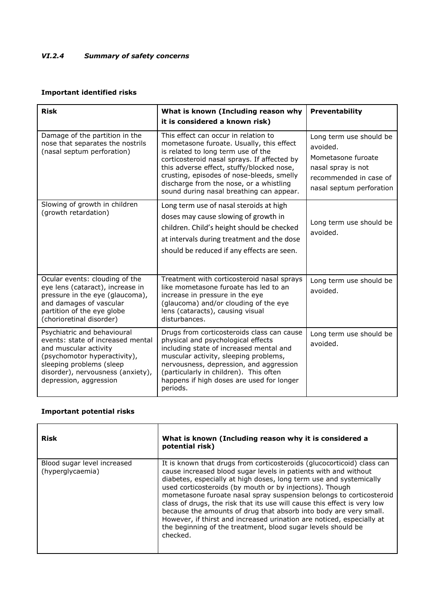## *VI.2.4 Summary of safety concerns*

### **Important identified risks**

| <b>Risk</b>                                                                                                                                                                                                          | What is known (Including reason why<br>it is considered a known risk)                                                                                                                                                                                                                                                                                  | <b>Preventability</b>                                                                                                                 |
|----------------------------------------------------------------------------------------------------------------------------------------------------------------------------------------------------------------------|--------------------------------------------------------------------------------------------------------------------------------------------------------------------------------------------------------------------------------------------------------------------------------------------------------------------------------------------------------|---------------------------------------------------------------------------------------------------------------------------------------|
| Damage of the partition in the<br>nose that separates the nostrils<br>(nasal septum perforation)                                                                                                                     | This effect can occur in relation to<br>mometasone furoate. Usually, this effect<br>is related to long term use of the<br>corticosteroid nasal sprays. If affected by<br>this adverse effect, stuffy/blocked nose,<br>crusting, episodes of nose-bleeds, smelly<br>discharge from the nose, or a whistling<br>sound during nasal breathing can appear. | Long term use should be<br>avoided.<br>Mometasone furoate<br>nasal spray is not<br>recommended in case of<br>nasal septum perforation |
| Slowing of growth in children<br>(growth retardation)                                                                                                                                                                | Long term use of nasal steroids at high<br>doses may cause slowing of growth in<br>children. Child's height should be checked<br>at intervals during treatment and the dose<br>should be reduced if any effects are seen.                                                                                                                              | Long term use should be<br>avoided.                                                                                                   |
| Ocular events: clouding of the<br>eye lens (cataract), increase in<br>pressure in the eye (glaucoma),<br>and damages of vascular<br>partition of the eye globe<br>(chorioretinal disorder)                           | Treatment with corticosteroid nasal sprays<br>like mometasone furoate has led to an<br>increase in pressure in the eye<br>(glaucoma) and/or clouding of the eye<br>lens (cataracts), causing visual<br>disturbances.                                                                                                                                   | Long term use should be<br>avoided.                                                                                                   |
| Psychiatric and behavioural<br>events: state of increased mental<br>and muscular activity<br>(psychomotor hyperactivity),<br>sleeping problems (sleep<br>disorder), nervousness (anxiety),<br>depression, aggression | Drugs from corticosteroids class can cause<br>physical and psychological effects<br>including state of increased mental and<br>muscular activity, sleeping problems,<br>nervousness, depression, and aggression<br>(particularly in children). This often<br>happens if high doses are used for longer<br>periods.                                     | Long term use should be<br>avoided.                                                                                                   |

#### **Important potential risks**

| <b>Risk</b>                                     | What is known (Including reason why it is considered a<br>potential risk)                                                                                                                                                                                                                                                                                                                                                                                                                                                                                                                                                                                |
|-------------------------------------------------|----------------------------------------------------------------------------------------------------------------------------------------------------------------------------------------------------------------------------------------------------------------------------------------------------------------------------------------------------------------------------------------------------------------------------------------------------------------------------------------------------------------------------------------------------------------------------------------------------------------------------------------------------------|
| Blood sugar level increased<br>(hyperglycaemia) | It is known that drugs from corticosteroids (glucocorticoid) class can<br>cause increased blood sugar levels in patients with and without<br>diabetes, especially at high doses, long term use and systemically<br>used corticosteroids (by mouth or by injections). Though<br>mometasone furoate nasal spray suspension belongs to corticosteroid<br>class of drugs, the risk that its use will cause this effect is very low<br>because the amounts of drug that absorb into body are very small.<br>However, if thirst and increased urination are noticed, especially at<br>the beginning of the treatment, blood sugar levels should be<br>checked. |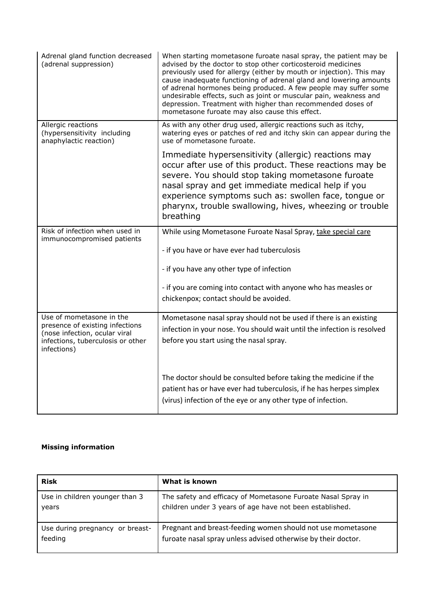| Adrenal gland function decreased<br>(adrenal suppression)                                                                                        | When starting mometasone furoate nasal spray, the patient may be<br>advised by the doctor to stop other corticosteroid medicines<br>previously used for allergy (either by mouth or injection). This may<br>cause inadequate functioning of adrenal gland and lowering amounts<br>of adrenal hormones being produced. A few people may suffer some<br>undesirable effects, such as joint or muscular pain, weakness and<br>depression. Treatment with higher than recommended doses of<br>mometasone furoate may also cause this effect. |
|--------------------------------------------------------------------------------------------------------------------------------------------------|------------------------------------------------------------------------------------------------------------------------------------------------------------------------------------------------------------------------------------------------------------------------------------------------------------------------------------------------------------------------------------------------------------------------------------------------------------------------------------------------------------------------------------------|
| Allergic reactions<br>(hypersensitivity including<br>anaphylactic reaction)                                                                      | As with any other drug used, allergic reactions such as itchy,<br>watering eyes or patches of red and itchy skin can appear during the<br>use of mometasone furoate.                                                                                                                                                                                                                                                                                                                                                                     |
|                                                                                                                                                  | Immediate hypersensitivity (allergic) reactions may<br>occur after use of this product. These reactions may be<br>severe. You should stop taking mometasone furoate<br>nasal spray and get immediate medical help if you<br>experience symptoms such as: swollen face, tongue or<br>pharynx, trouble swallowing, hives, wheezing or trouble<br>breathing                                                                                                                                                                                 |
| Risk of infection when used in<br>immunocompromised patients                                                                                     | While using Mometasone Furoate Nasal Spray, take special care                                                                                                                                                                                                                                                                                                                                                                                                                                                                            |
|                                                                                                                                                  | - if you have or have ever had tuberculosis                                                                                                                                                                                                                                                                                                                                                                                                                                                                                              |
|                                                                                                                                                  | - if you have any other type of infection                                                                                                                                                                                                                                                                                                                                                                                                                                                                                                |
|                                                                                                                                                  | - if you are coming into contact with anyone who has measles or<br>chickenpox; contact should be avoided.                                                                                                                                                                                                                                                                                                                                                                                                                                |
| Use of mometasone in the<br>presence of existing infections<br>(nose infection, ocular viral<br>infections, tuberculosis or other<br>infections) | Mometasone nasal spray should not be used if there is an existing<br>infection in your nose. You should wait until the infection is resolved<br>before you start using the nasal spray.                                                                                                                                                                                                                                                                                                                                                  |
|                                                                                                                                                  | The doctor should be consulted before taking the medicine if the<br>patient has or have ever had tuberculosis, if he has herpes simplex<br>(virus) infection of the eye or any other type of infection.                                                                                                                                                                                                                                                                                                                                  |

# **Missing information**

| <b>Risk</b>                     | What is known                                                 |
|---------------------------------|---------------------------------------------------------------|
| Use in children younger than 3  | The safety and efficacy of Mometasone Furoate Nasal Spray in  |
| years                           | children under 3 years of age have not been established.      |
| Use during pregnancy or breast- | Pregnant and breast-feeding women should not use mometasone   |
| feeding                         | furoate nasal spray unless advised otherwise by their doctor. |